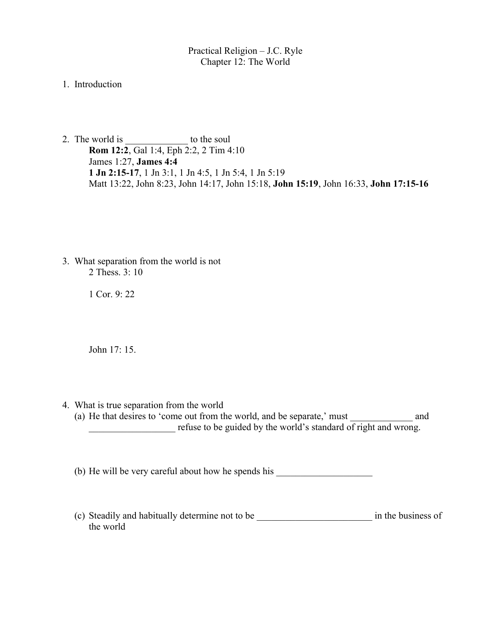Practical Religion – J.C. Ryle Chapter 12: The World

1. Introduction

2. The world is to the soul **Rom 12:2**, Gal 1:4, Eph 2:2, 2 Tim 4:10 James 1:27, **James 4:4 1 Jn 2:15-17**, 1 Jn 3:1, 1 Jn 4:5, 1 Jn 5:4, 1 Jn 5:19 Matt 13:22, John 8:23, John 14:17, John 15:18, **John 15:19**, John 16:33, **John 17:15-16**

 3. What separation from the world is not 2 Thess. 3: 10

1 Cor. 9: 22

John 17: 15.

- 4. What is true separation from the world
	- (a) He that desires to 'come out from the world, and be separate,' must and The guided by the world's standard of right and wrong.

(b) He will be very careful about how he spends his

(c) Steadily and habitually determine not to be \_\_\_\_\_\_\_\_\_\_\_\_\_\_\_\_\_\_\_\_\_\_\_\_ in the business of the world